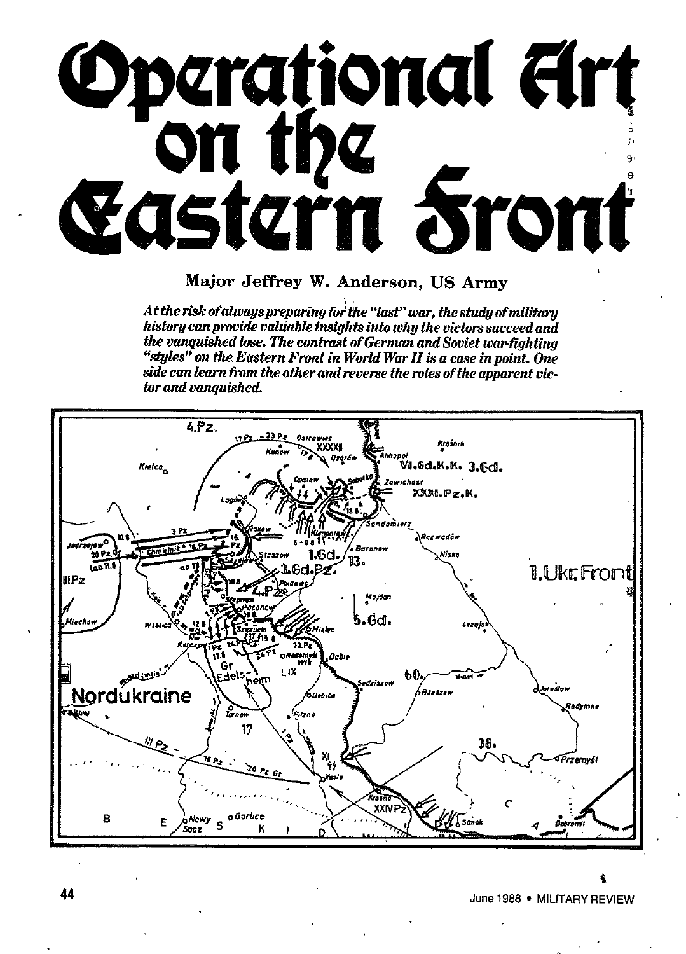

Major **Jeffrey W. Anderson, US Army**

; *At the risk ofahoayspreparing fo the %&' war, thestwdyofmititary history canpnwide vakinbh insights into why the uictars sacceedand the vanquished he. The contmst of German and Souiet wa~fighting 'W@& on the Eastern Fnmt in Wortd War II is a case in point. One siok can karn tim the other and reverse the mtes of the apparent victorand vanquished.*



*i* June 1988 ● MILITARY REVIEW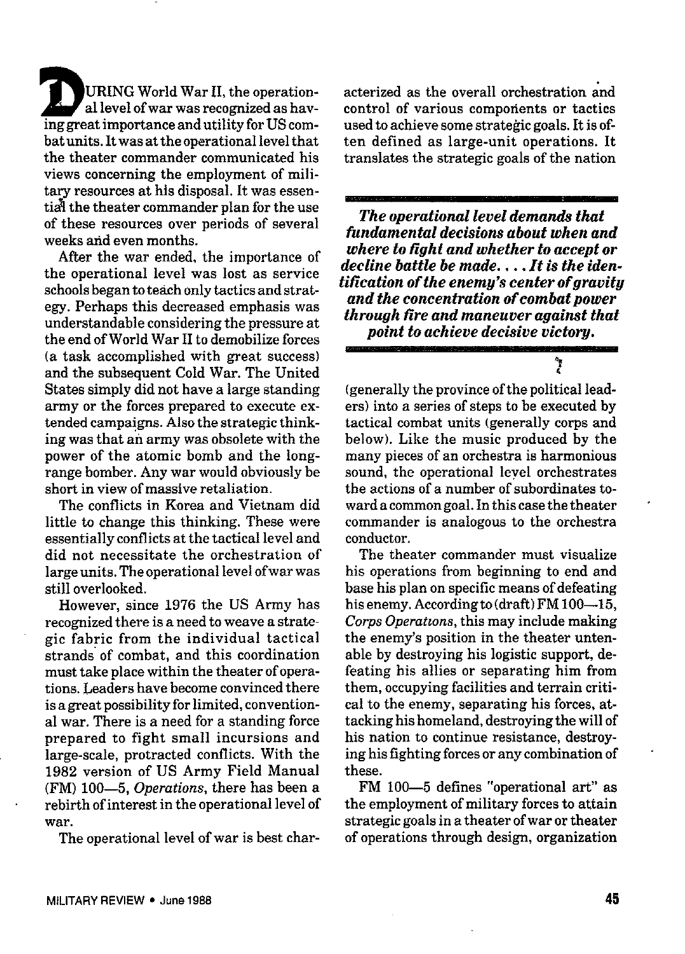**D**URING World War II, the operational level of war was recognized as having great importance and utility for US combat units. It was at the operational level that the theater commander communicated his views concerning the employment of military resources at his disposal. It was essentia<sup>l</sup> the theater commander plan for the use of these resources over periods of several weeks and even months.

After the war ended, the importance of the operational level was lost as service schools began to teach only tactics and strategy. Perhaps this decreased emphasis was understandable considering the pressure at the end of World War II to demobilize forces (a task accomplished with great success) and the subsequent Cold War. The United States simply did not have a large standing army or the forces prepared to execute extended campaigns. Also the strategic thinking was that ariarmy was obsolete with the power of tbe atomic bomb and the longrange bomber. Any war would obviously be short in view of massive retaliation.

The conflicts in Korea and Vietnam did little to change this thinking. These were essentially conflicts at the tactical level and did not necessitate the orchestration of large units. The operational level ofwar was still overlooked.

However, since 1976 the US Army has recognized there is a need to weave a strategic fabric from the individual tactical strands of combat, and this coordination must take place within the theater of operations. Leaders have become convinced there is a great possibility for limited, conventional war. There is a need for a standing force prepared to fight small incursions and large-scale, protracted conflicts. With the 1982 version of US Army Field Manual (FM) 100-5, *Operations,* there has been a rebirth of interest in the operational level of war.

The operational level of war is best char-

acterized as the overall orchestration and control of various comporients or tactics used to achieve some strategic goals. It is often defined as large-unit operations. It translates the strategic goals of the nation

*The operational level demands that fundamental decisions about when and where to tight and whether to accept or decline battle be made. , . . It is the identification of the enemy's center of gravity and the concentration of combat power through tire and maneuver against that point to achieve decisive victorm*

y

(generally the province ofthe political leaders) into a series of steps to be executed by tactical combat units (generally corps and below). Like the music produced by the many pieces of an orchestra is harmonious sound, the operational level orchestrates the actions of a number of subordinates toward acommongoal. Inthis case the theater commander is analogous to the orchestra conductor.

The theater commander must visualize his operations from beginning to end and base his plan on specific means of defeating bis enemy. According to (draft)FM 100—15, *Corps Operations,* this may include making the enemy's position in the theater untenable by destroying his logistic support, defeating his allies or separating him from them, occupying facilities and terrain critical to the enemy, separating his forces, attacking his homeland, destroying the will of his nation to continue resistance, destroying his fighting forces or any combination of these.

FM 100—5 defines "operational art" as the employment of military forces to attain strategic goals in *a* theater of war or theater of operations through design, organization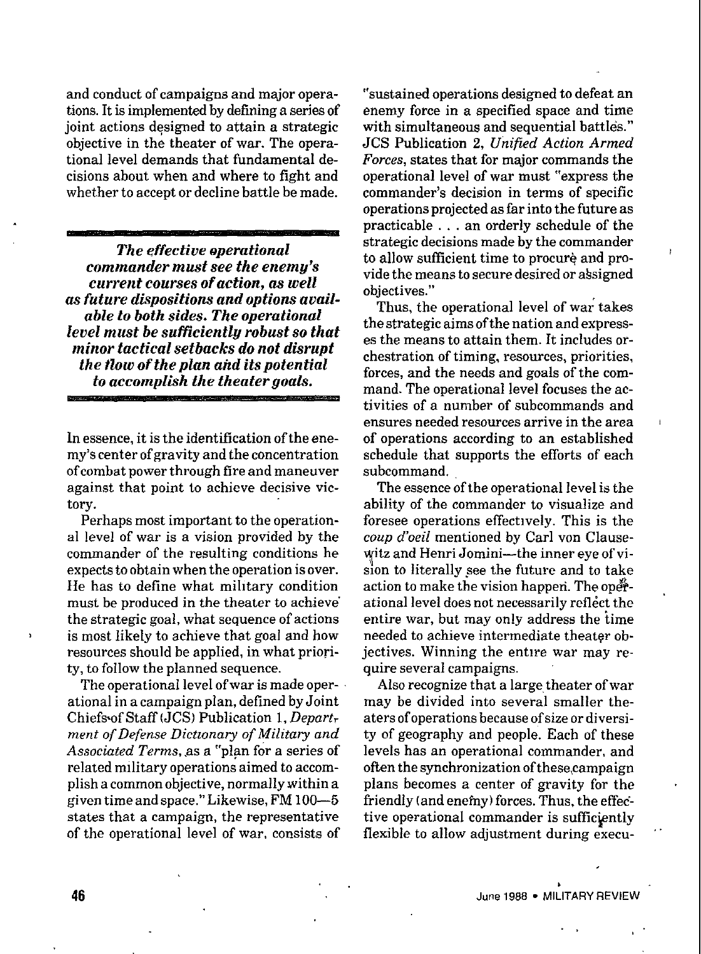and conduct of campaigns and major operations. It is implemented by defining a series of joint actions designed to attain a strategic objective in the theater of war. The operational level demands that fundamental decisions about when and where to tight and whether to accept or decline battle be made.

*The effective operational commander must see the enemy's current courses of action, as well as future dispositions and optioas available to both sides. The operational level must be sufficiently robust so that minor tactical setbacks do not disrupt the tlow of the plan aitd its potential to accomplish the theater goals.*

In essence, it is the identification of the enemy's center of gravity and the concentration of combat power through fire and maneuver against that point to achieve decisive victory.

Perhaps most important to the operational level of war is a vision provided by the commander of the resulting conditions he expects to obtain when the operation is over. He has to define what military condition must be produced in the theater to achieve" the strategic goal, what sequence of actions is most likely to achieve that goal and how resources should be applied, in what priority, to follow the planned sequence.

The operational level of war is made operational in a campaign plan, defined by Joint Chiefs of Staff (JCS) Publication 1, Depart*ment of Defense Dictionary of Militaiy and Associated Terms,* .asa "plan for a series of related military operations aimed to accomplish a common objective, normally within a given time and space." Likewise, FM 100—5 states that a campaign, the representative of the operational level of war, consists of

"sustained operations designed *to* defeat an enemy force in a specified space and time with simultaneous and sequential battles." JCS Publication 2, *Unified Action Armed Forces,* states that for major commands the operational level of war must "express the commander's decision in terms of specific operations projected as far into the future as practicable . . . an orderly schedule of the strategic decisions made by the commander to allow sufficient time to procure and provide the means to secure desired or absigned objectives."

Thus, the operational level of war takes the strategic aims of the nation and expresses the means to attain them. It includes orchestration of timing, resources, priorities, forces, and the needs and goals of the command. The operational level focuses the activities of a number of subcommands and ensures needed resources arrive in the area , of operations according to an established schedule that supports the efforts of each subcommand.

The essence of the operational level is the ability of the commander to visualize and foresee operations effectively. This is the *coup d'oeil* mentioned by Carl von Clause witz and Henri Jomini—the inner eye of vision to literally see the future and to take action to make the vision happen. The operational level does not necessarily reflect the entire war, but may only address the time needed to achieve intermediate theater objectives. Winning the entire war may require several campaigns.

Also recognize that a large theater of war may be divided into several smaller theaters of operations because of size or diversity of geography and people. Each of these levels has an operational commander, and often the synchronization ofthese,campaign plans becomes a center of gravity for the friendly (and enemy) forces. Thus, the effective operational commander is sufficiently flexible to allow adjustment during execu-

**46 1988 • MILITARY REVIEW**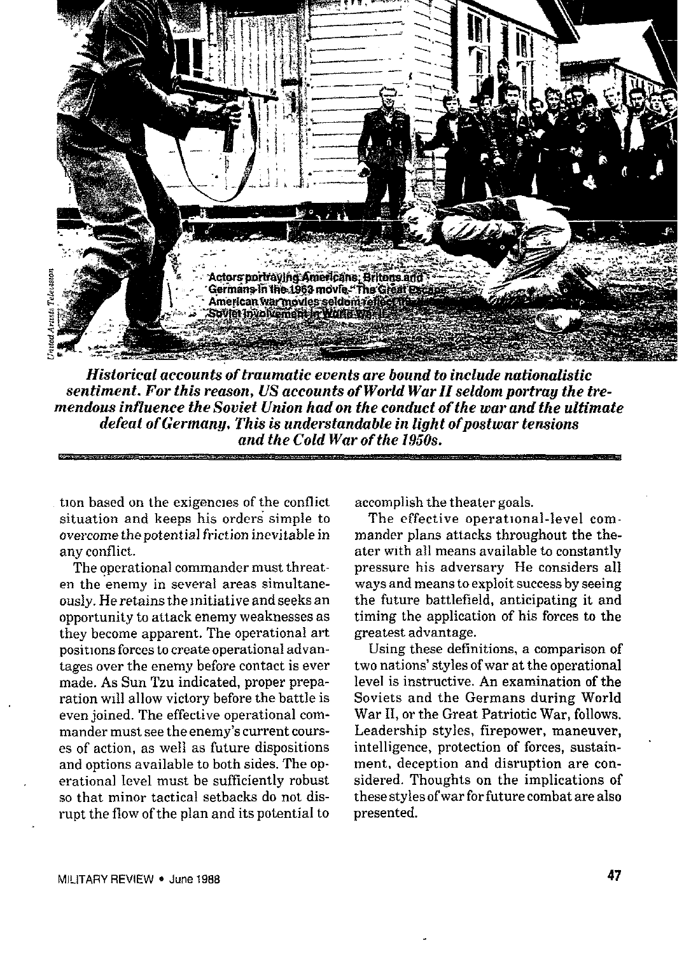

*Historical accounts of traumatic events are bound to include nationalistic sentiment. For this reason, US accounts of World War II seldom portray the tremendous infZuence the Soviet Union had on the conduct of the war and the ultimate defeat of Germany. This is understandable in light ofpostwar tensions and the Cold War of the 1950s.*

tion based on the exigencies of the conflict situation and keeps his orders simple to overcome the potential friction inevitable in any conflict.

The operational commander must threaten tbe enemy in several areas simultaneously. He retains the Initiative and seeks an opportunity to attack enemy weaknesses as they become apparent. The operational art positions forces to create operational advantages over the enemy before contact is ever made. As Sun Tzu indicated, proper preparation will allow victory before the battle is even joined. The effective operational commander must see the enemy's current courses of action, as well as future dispositions and options available to both sides. The op. erational level must be sufficiently robust so that minor tactical setbacks do not disrupt the flow of the plan and its potential to accomplish the theater goals.

The effective operational-level commander plans attacks throughout the theater with all means available to constantly pressure his adversary He considers all ways and means to exploit success by seeing the future battlefield, anticipating it and timing the application of his forces to the greatest advantage.

Using these definitions, a comparison of two nations' styles of war at the operational level is instructive. An examination of the Soviets and the Germans during World War II, or the Great Patriotic War, follows. Leadership styles, firepower, maneuver, intelligence, protection of forces, sustainment, deception and disruption are considered. Thoughts on the implications of these styles ofwar for future combat are also presented.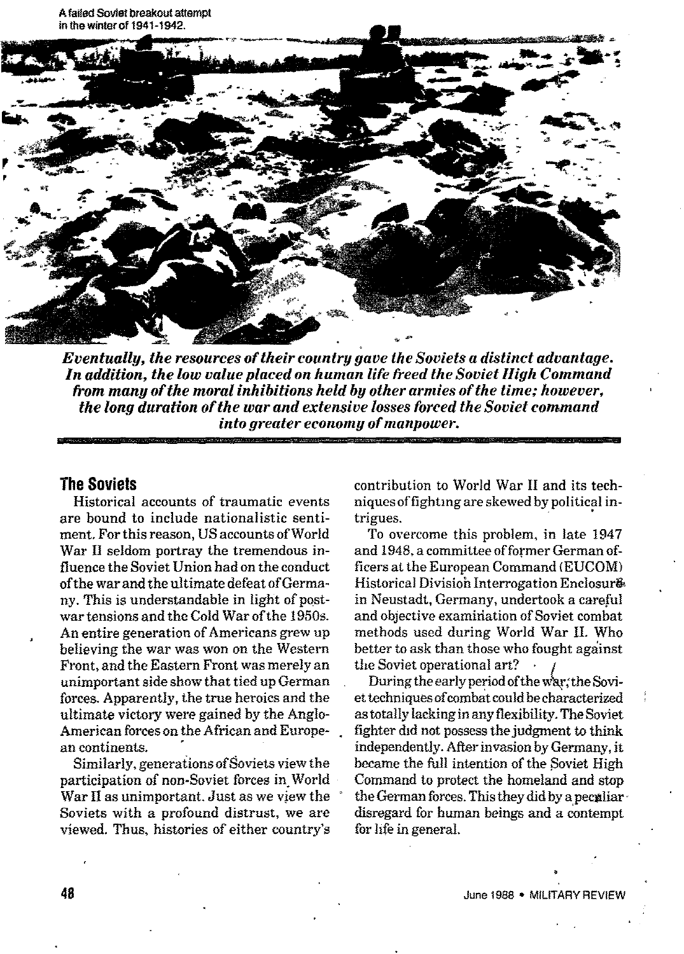

*Eventually, the resources of their country gave the Soviets a distinct advantage. In addition, the low value placed on human life freed the Soviet High Command horn many of the moral inhibitions held by other armies of the time; however, ~~ the long duration of the war and extensive losses forced the Soviet command into .qreater economy of manpower.*

## **The Soviets**

Historical accounts of traumatic events are bound to include nationalistic sentiment, For this reason, US accounts of World War II seldom portray the tremendous influence the Soviet Union had on the conduct ofthe war and the ultimate defeat of Germany. This is understandable in light of **post**war tensions and the Cold War of the 1950s. An entire generation of Americans grew up believing the war was won on the Western Front, and the Eastern Front was merely an unimportant side show that tied upGerman forces. Apparently, the true heroics and the ultimate victory were gained by the Anglo-American forces on the African and European continents.

Similarly, generations of Soviets view the participation of non-Soviet forces in.World War II as unimportant. Just as we view the Soviets with *a* profound distrust, we are viewed. Thus, histories of either country's contribution to World War 11and its techniques of fighting are skewed by political intrigues.

To overcome this problem, in late 1947 and 1945,a committee of former German officers at the European Command (EUCOM) Historical Divisioh Interrogation Enclosur& in Neustadt, Germany, undertook a careful and objective examiriation of Soviet combat methods used during World War II. Who better to ask than those who fought against the Soviet operational art?

During the early period of the war, the Soviet techniques of combat could be characterized as totally lacking in any flexibility. The Soviet fighter did not possess the judgment to think independently. After invasion by Germany, it became the full intention of the Soviet High Command to protect the homeland and stop the German forces. This they did by a peculiardisregard for human beings and a contempt for hfe in general.

,,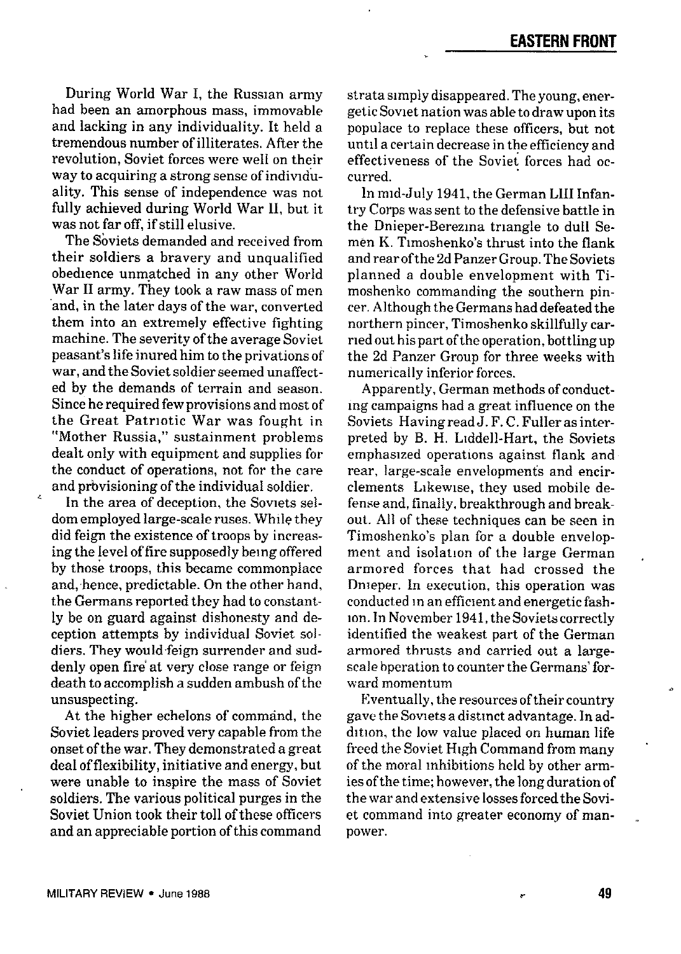During World War I, the Russian army had been an amorphous mass, immovable and lacking in any individuality. It held a tremendous number of illiterates. After the revolution, Soviet forces were well on their way to acquiring a strong sense of individuality. This sense of independence was not fully achieved during World War H, but it was not far off, if still elusive.

The Soviets demanded and received from their soldiers a bravery and unqualified obedience unmatched in any other World War II army. They took a raw mass of men and, in the later days of the war, converted them into an extremely effective fighting machine. The severity of the average Soviet peasant's life inured him to the privations of war, and the Soviet soldier seemed unaffected by the demands of terrain and season. Since he required fewprovisions and most of the Great Patriotic War was fought in "Mother Russia," sustainment problems dealt only with equipment and supplies for the conduct of operations, not for the care and provisioning of the individual soldier.

In the area of deception, the Soviets seldom employed large-scale ruses. While they did feign the existence of troops by increasing the level of fire supposedly being offered by those troops, this became commonplace and, hence, predictable. On the other hand, the Germans reported they had to constantly be on guard against dishonesty and deception attempts by individual Soviet soldiers. They would.feign surrender and suddenly open fire at very close range or feign death to accomplish a sudden ambush of the unsuspecting.

At the higher echelons of command, the Soviet leaders proved very capable from the onset of the war. They demonstrated a great deal offlexibility, initiative and energy, but were unable to inspire the mass of Soviet soldiers. The various political purges in the Soviet Union took their toll of these officers and an appreciable portion of this command

strata simply disappeared.The young, energetic Soviet nation was able to draw upon its populace to replace these officers, but not until a certain decrease in the efficiency and effectiveness of the Soviet forces had occurred.

In mid-July 1941, the German LIII Infantry Corps was sent to the defensive battle in the Dnieper-Berezma triangle to dull Semen K. Tlmoshenko's thrust into the flank and rear ofthe 2dPanzerGroup.The Soviets planned a double envelopment with Timoshenko commanding the southern pin. cer. Although the Germans had defeated the northern pincer, Timoshenko skillfully carried out his part of the operation, bottling up the 2d Panzer Group for three weeks with numerically inferior forces.

Apparently, German methods of conductmg campaigns had a great influence on the .Soviets Having readJ. F. C. Fuller as interpreted by B. H, L1ddell-Hart, the Soviets emphasized operations against flank and rear, large-scale envelopments and encirclements Llkewme, they used mobile defense and, finally, breakthrough and breakout. All of these techniques can be seen in Timoshenko's plan for a double envelopment and isolation of the large German armored forces that had crossed the Dnieper. In execution, this operation was conducted in an efficient and energetic fashion. In November 1941,theSoviets correctly identified the weakest part of the German armored thrusts and carried out a largescale bperation to counter the Germans' forward momentum

Eventually, the resources of their country gave the Soviets a distinct advantage. In addition, the low value placed on human life freed the Soviet High Command from many of the moral inhibitions held by other armies of the time; however, the long duration of the war and extensive losses forced the Soviet command into greater economy of man- . power.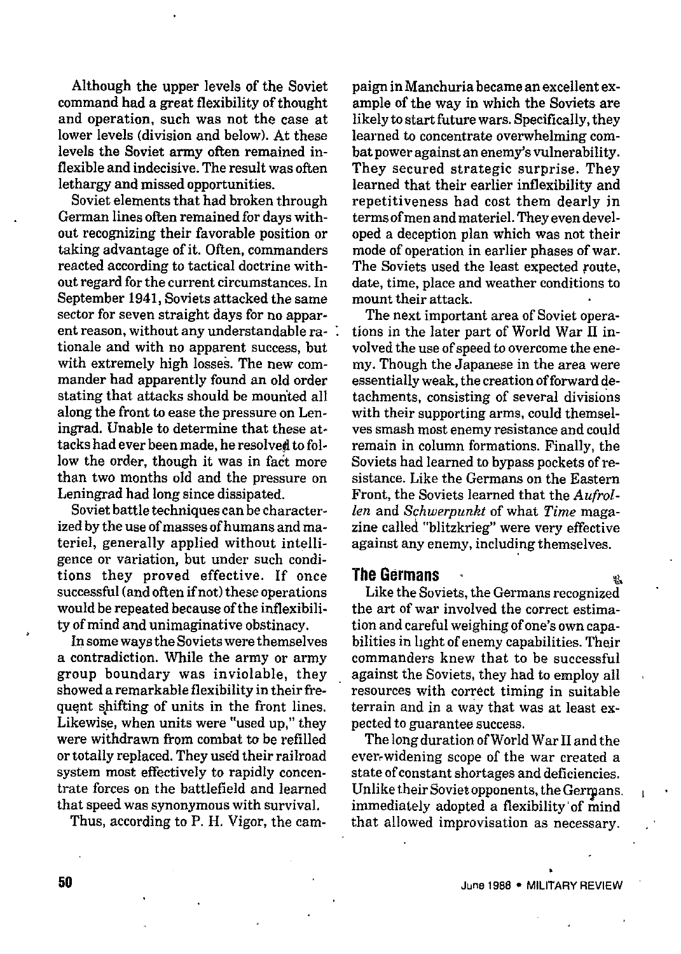Although the upper levels of the Soviet command had a great flexibility of thought and operation, such was not the case at lower levels (division and below). At these levels the Soviet army often remained inflexible and indecisive. The result was often lethargy and missed opportunities.

Soviet elements that had broken through German lines often remained for days without recognizing their favorable position or taking advantage of it. Often, commanders reacted according to tactical doctrine without regard for the current circumstances. In September 1941, Soviets attacked the same sector for seven straight days for no apparent reason, without any understandable rationale and with no apparent success, but with extremely high losses. The new commander had apparently found an old order stating that attacks should be mounted all along the front to ease the pressure on Leningrad. Unable to determine that these attacks had ever been made, he resolved to follow the order, though it was in fact more than two months old and the pressure on Leningrad had long since dissipated.

Soviet battle techniques can be characterized by the use of masses of humans and materiel, generally applied without intelligence or variation, but under such conditions they proved effective. If once successful (and often if not) these operation would be repeated because of the inflexibility of mind and unimaginative obstinacy.

Insome ways the Soviets were themselves a contradiction. While the army or army group boundary was inviolable, they showed a remarkable flexibility in their frequent shifting of units in the front lines. Likewise, when units were "used up," they were withdrawn from combat to be refilled or totally replaced. They used their railroad system most effectively to rapidly concentrate forces on the battlefield and learned that speed was synonymous with survival.

Thus, according to P. H. Vigor, the cam-

paign in Manchuria became an excellent example of the way in which the Soviets are likely to start future wars. Specifically, they learned to concentrate overwhelming combat power against an enemy's vulnerability. They secured strategic surprise. They learned that their earlier inflexibility and repetitiveness had cost them dearly in terms of men and materiel. They even developed a deception plan which was not their mode of operation in earlier phases of war. The Soviets used the least expected route, date, time, place and weather conditions to mount their attack.

The next important area of Soviet operations in the later part of World War II involved the use of speed to overcome the enemy. Though the Japanese in the area were essentially weak, the creation of forward detachments, consisting of several divisions with their supporting arme, could themselves smash most enemy resistance and could remain in column formations. Finally, the Soviets had learned to bypass pockets of resistance. Like the Germans on the Eastern Front, the Soviets learned that the *Aufrollen* and *Schwerpunkt* of what *Time* magazine called "blitzkrieg" were very eflective against any enemy, including themselves.

## **The Germans ~**

Like the Soviets, the Germans recognized the art of war involved the correct estimation and careful weighing of one's own capabilities in hght of enemy capabilities. Their commanders knew that to be successful against the Soviets, they had to employ all resources with correct timing in suitable terrain and in a way that was at least expected to guarantee success.

The long duration ofWorld War II and the ever,widening scope of the war created a state of constant shortages and deficiencies. Unlike their Soviet opponents, the Germans, immediately adopted a flexibility' of mind that allowed improvisation as necessary.

锰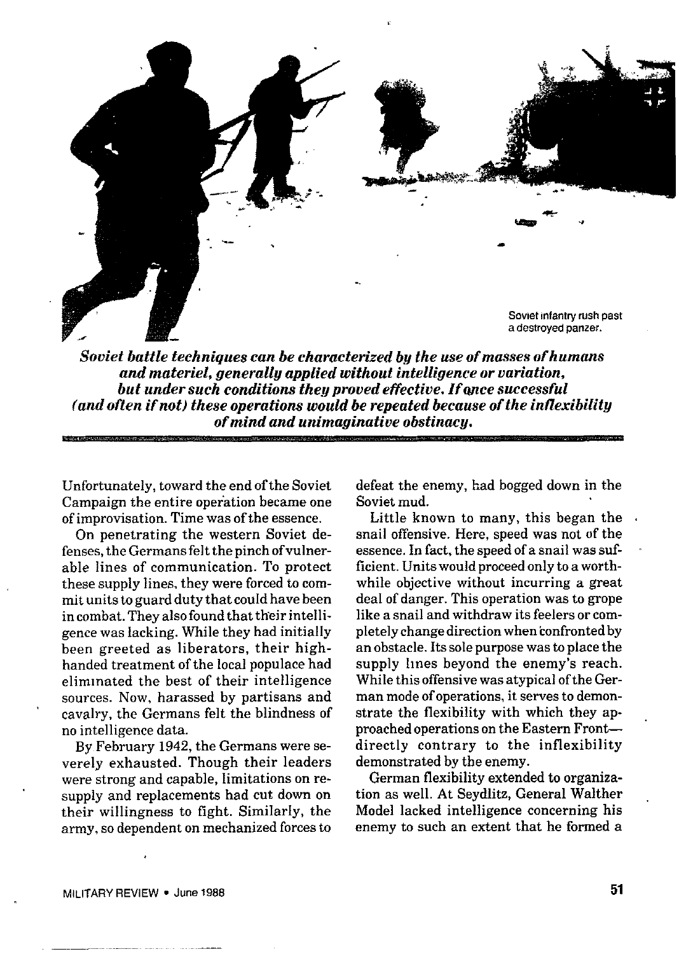

*Soviet battle techniques can be characterized by the use of masses of humans and materiel, generally applied without intelligence or variation, but under such conditions they proved effective. If qnce successful (and often if not) these operations would be repeated because of the inflexibility of mind and unimaginative obstinacy.*

Unfortunately, toward the end of the Soviet Campaign the entire operation became one of improvisation. Time was of the essence.

On penetrating the western Soviet defenses,the Germans felt the pinch ofvulnerable lines of communication. To protect these supply lines, they were forced to commit units to guard duty that could have been in combat. They also found that their intelligence was lacking. While they had initially been greeted as liberators, their highhanded treatment of the local populace had eliminated the best of their intelligence sources. Now, harassed by partisans and cavalry, the Germans felt the blindness of no intelligence data.

By February 1942, the Germans were severely exhausted. Though their leaders were strong and capable, limitations on resupply and replacements had cut down on their willingness to fight. Similarly, the army, so dependent on mechanized forces to defeat the enemy, had bogged down in the Soviet mud.

Little known to many, this began the . snail offensive. Here, speed was not of the essence. In fact, the speed of a snail was sufficient. Units would proceedonly to a worthwhile objective without incurring a great deal of danger. This operation was to grope like a snail and withdraw its feelers or completely change direction when confronted by an obstacle. Its sole purpose was to place the supply lines beyond the enemy's reach. While this offensive was atypical of the German mode of operations, it serves to demonstrate the flexibility with which they approached operations on the Eastern Frontdirectly contrary to the inflexibility demonstrated by the enemy.

German flexibility extended to organization as well. At Seydlitz, General Walther Model lacked intelligence concerning his enemy to such an extent that he formed a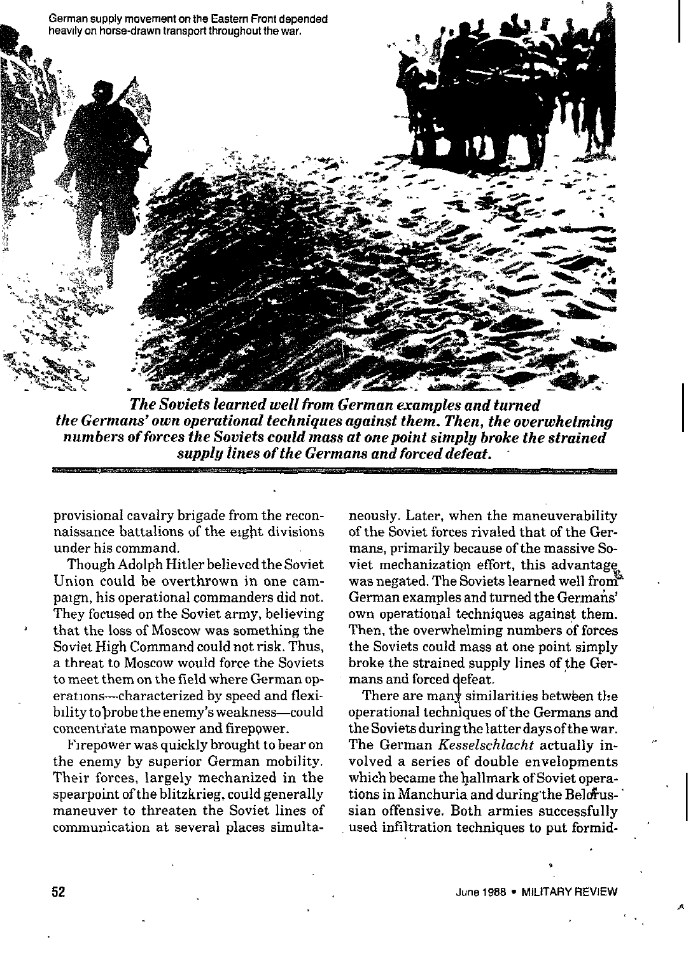

*The Soviets learned well from German examples and turned the Germans' own operational techniques against them. Then, the overwhelming numbers of forces the Soviets could muss at one point simply broke the strained supply lines of the Germans and forced defeat.*

provisional cavalry brigade from the reconnaissance battalions of the eight divisions under his command.

Though Adolph Hitler believed the Soviet Union could be overthrown in one campaign, his operational commanders did not. They focused on the Soviet army, believing that the loss of Moscow was something the Soviet High Command could not risk. Thus, a threat to Moscow would force the Soviets to meet them on the field where German operations—characterized by speed and flexibility to brobe the enemy's weakness-could concentrate manpower and firepower.

Firepower was quickly brought to bear on the enemy by superior German mobility. Their forces, largely mechanized in the spearpoint of the blitzkrieg, could generally maneuver to threaten the Soviet lines of communication at several places simultaneously. Later, when the maneuverability of the Soviet forces rivaled that of the Germans, primarily because of the massive Soviet mechanization effort, this advantage was negated. The Soviets learned well from German examples and turned the Germans' own operational techniques against them. Then, the overwhelming numbers of forces the Soviets could mass at one point simply broke the strained supply lines of the Germans and forced defeat,

1 operational techmques of the Germans and There are many similarities between the the Soviets during the latter days of the war. The German *Kesselschtacht* actually involved a series of double envelopments which became the hallmark of Soviet operations in Manchuria and during the Belorussian offensive. Both armies successfully used infiltration techniques to put formid-

.

,,.